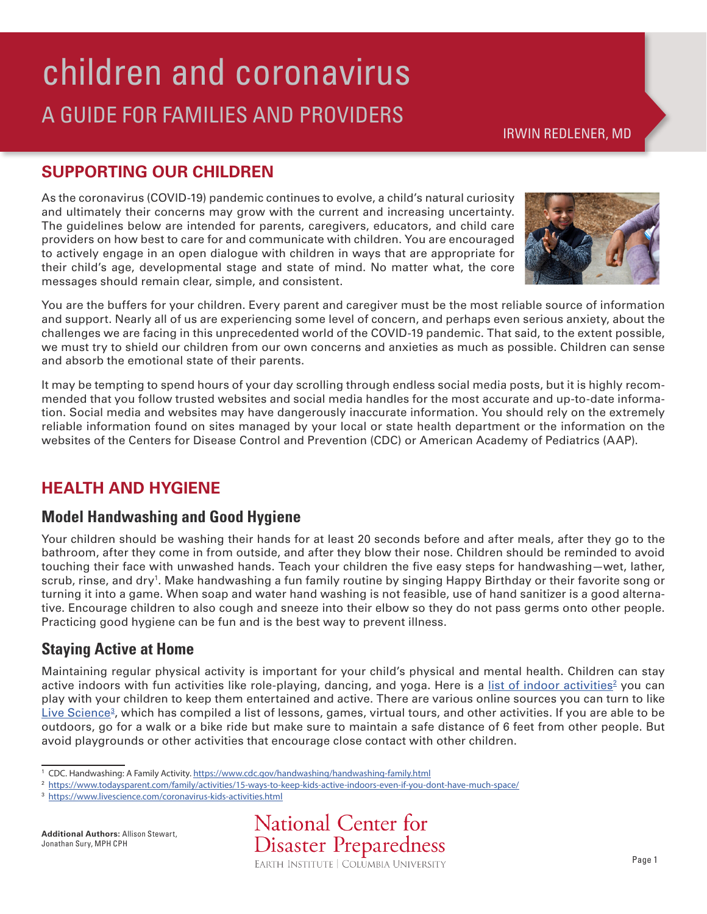# children and coronavirus A GUIDE FOR FAMILIES AND PROVIDERS

IRWIN REDLENER, MD

# **SUPPORTING OUR CHILDREN**

As the coronavirus (COVID-19) pandemic continues to evolve, a child's natural curiosity and ultimately their concerns may grow with the current and increasing uncertainty. The guidelines below are intended for parents, caregivers, educators, and child care providers on how best to care for and communicate with children. You are encouraged to actively engage in an open dialogue with children in ways that are appropriate for their child's age, developmental stage and state of mind. No matter what, the core messages should remain clear, simple, and consistent.



You are the buffers for your children. Every parent and caregiver must be the most reliable source of information and support. Nearly all of us are experiencing some level of concern, and perhaps even serious anxiety, about the challenges we are facing in this unprecedented world of the COVID-19 pandemic. That said, to the extent possible, we must try to shield our children from our own concerns and anxieties as much as possible. Children can sense and absorb the emotional state of their parents.

It may be tempting to spend hours of your day scrolling through endless social media posts, but it is highly recommended that you follow trusted websites and social media handles for the most accurate and up-to-date information. Social media and websites may have dangerously inaccurate information. You should rely on the extremely reliable information found on sites managed by your local or state health department or the information on the websites of the Centers for Disease Control and Prevention (CDC) or American Academy of Pediatrics (AAP).

# **HEALTH AND HYGIENE**

## **Model Handwashing and Good Hygiene**

Your children should be washing their hands for at least 20 seconds before and after meals, after they go to the bathroom, after they come in from outside, and after they blow their nose. Children should be reminded to avoid touching their face with unwashed hands. Teach your children the five easy steps for handwashing—wet, lather, scrub, rinse, and dry<sup>1</sup>. Make handwashing a fun family routine by singing Happy Birthday or their favorite song or turning it into a game. When soap and water hand washing is not feasible, use of hand sanitizer is a good alternative. Encourage children to also cough and sneeze into their elbow so they do not pass germs onto other people. Practicing good hygiene can be fun and is the best way to prevent illness.

## **Staying Active at Home**

Maintaining regular physical activity is important for your child's physical and mental health. Children can stay active indoors with fun activities like role-playing, dancing, and yoga. Here is a <u>[list of indoor activities](https://www.todaysparent.com/family/activities/15-ways-to-keep-kids-active-indoors-even-if-you-dont-have-much-space/)</u><sup>2</sup> you can play with your children to keep them entertained and active. There are various online sources you can turn to like Live Science<sup>3</sup>, which has compiled a list of lessons, games, virtual tours, and other activities. If you are able to be outdoors, go for a walk or a bike ride but make sure to maintain a safe distance of 6 feet from other people. But avoid playgrounds or other activities that encourage close contact with other children.

<sup>&</sup>lt;sup>1</sup> CDC. Handwashing: A Family Activity. <https://www.cdc.gov/handwashing/handwashing-family.html>

<sup>2</sup> <https://www.todaysparent.com/family/activities/15-ways-to-keep-kids-active-indoors-even-if-you-dont-have-much-space/>

<sup>3</sup> <https://www.livescience.com/coronavirus-kids-activities.html>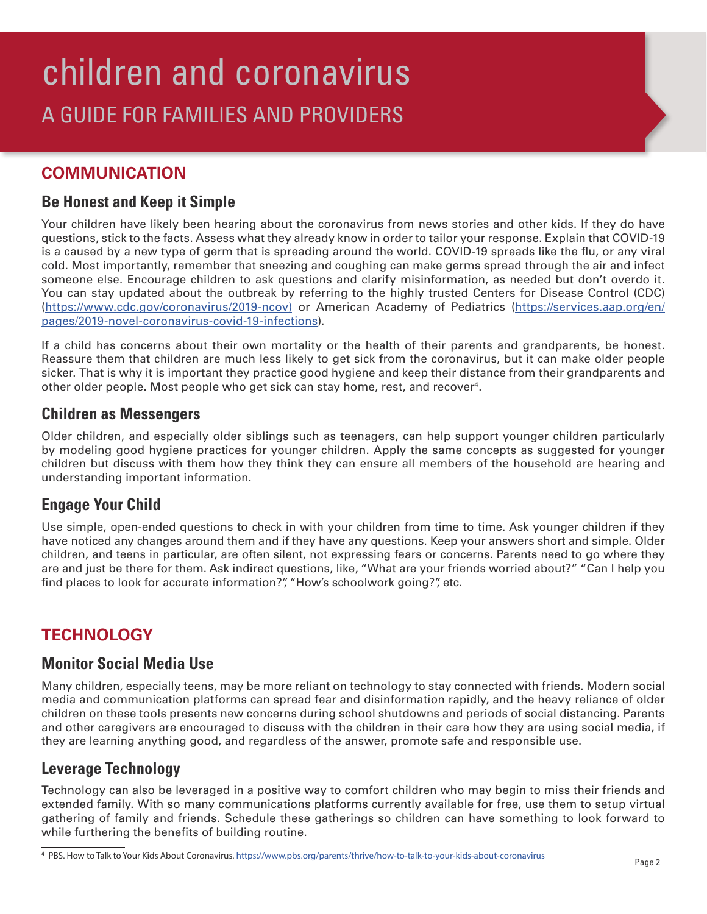# **COMMUNICATION**

## **Be Honest and Keep it Simple**

Your children have likely been hearing about the coronavirus from news stories and other kids. If they do have questions, stick to the facts. Assess what they already know in order to tailor your response. Explain that COVID-19 is a caused by a new type of germ that is spreading around the world. COVID-19 spreads like the flu, or any viral cold. Most importantly, remember that sneezing and coughing can make germs spread through the air and infect someone else. Encourage children to ask questions and clarify misinformation, as needed but don't overdo it. You can stay updated about the outbreak by referring to the highly trusted Centers for Disease Control (CDC) [\(https://www.cdc.gov/coronavirus/2019-ncov\)](https://www.cdc.gov/coronavirus/2019-ncov/) or American Academy of Pediatrics [\(https://services.aap.org/en/](https://services.aap.org/en/pages/2019-novel-coronavirus-covid-19-infections) [pages/2019-novel-coronavirus-covid-19-infections](https://services.aap.org/en/pages/2019-novel-coronavirus-covid-19-infections)).

If a child has concerns about their own mortality or the health of their parents and grandparents, be honest. Reassure them that children are much less likely to get sick from the coronavirus, but it can make older people sicker. That is why it is important they practice good hygiene and keep their distance from their grandparents and other older people. Most people who get sick can stay home, rest, and recover<sup>4</sup>.

#### **Children as Messengers**

Older children, and especially older siblings such as teenagers, can help support younger children particularly by modeling good hygiene practices for younger children. Apply the same concepts as suggested for younger children but discuss with them how they think they can ensure all members of the household are hearing and understanding important information.

#### **Engage Your Child**

Use simple, open-ended questions to check in with your children from time to time. Ask younger children if they have noticed any changes around them and if they have any questions. Keep your answers short and simple. Older children, and teens in particular, are often silent, not expressing fears or concerns. Parents need to go where they are and just be there for them. Ask indirect questions, like, "What are your friends worried about?" "Can I help you find places to look for accurate information?", "How's schoolwork going?", etc.

## **TECHNOLOGY**

#### **Monitor Social Media Use**

Many children, especially teens, may be more reliant on technology to stay connected with friends. Modern social media and communication platforms can spread fear and disinformation rapidly, and the heavy reliance of older children on these tools presents new concerns during school shutdowns and periods of social distancing. Parents and other caregivers are encouraged to discuss with the children in their care how they are using social media, if they are learning anything good, and regardless of the answer, promote safe and responsible use.

## **Leverage Technology**

Technology can also be leveraged in a positive way to comfort children who may begin to miss their friends and extended family. With so many communications platforms currently available for free, use them to setup virtual gathering of family and friends. Schedule these gatherings so children can have something to look forward to while furthering the benefits of building routine.

<sup>4</sup> <PBS. How to Talk to Your Kids About Coronavirus. https://www.pbs.org/parents/thrive/how-to-talk-to-your-kids-about-coronavirus>